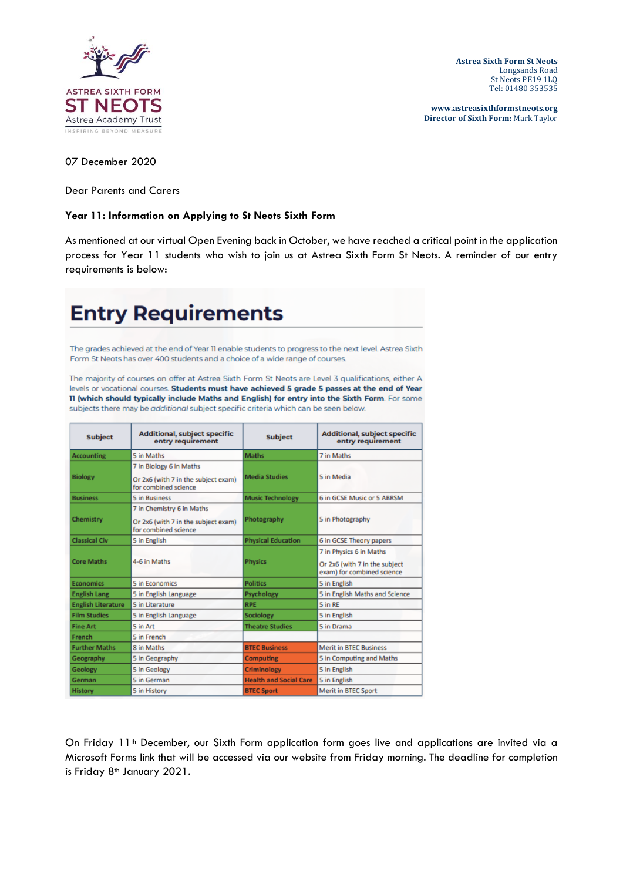

**Astrea Sixth Form St Neots** Longsands Road St Neots PE19 1LQ Tel: 01480 353535

**www.astreasixthformstneots.org Director of Sixth Form:** Mark Taylor

07 December 2020

Dear Parents and Carers

## **Year 11: Information on Applying to St Neots Sixth Form**

As mentioned at our virtual Open Evening back in October, we have reached a critical point in the application process for Year 11 students who wish to join us at Astrea Sixth Form St Neots. A reminder of our entry requirements is below:

## **Entry Requirements**

The grades achieved at the end of Year 11 enable students to progress to the next level. Astrea Sixth Form St Neots has over 400 students and a choice of a wide range of courses.

The majority of courses on offer at Astrea Sixth Form St Neots are Level 3 qualifications, either A levels or vocational courses. Students must have achieved 5 grade 5 passes at the end of Year 11 (which should typically include Maths and English) for entry into the Sixth Form. For some subjects there may be additional subject specific criteria which can be seen below.

| <b>Subject</b>            | <b>Additional, subject specific</b><br>entry requirement                                 | <b>Subject</b>                | <b>Additional, subject specific</b><br>entry requirement                               |
|---------------------------|------------------------------------------------------------------------------------------|-------------------------------|----------------------------------------------------------------------------------------|
| <b>Accounting</b>         | 5 in Maths                                                                               | <b>Maths</b>                  | 7 in Maths                                                                             |
| <b>Biology</b>            | 7 in Biology 6 in Maths<br>Or 2x6 (with 7 in the subject exam)<br>for combined science   | <b>Media Studies</b>          | 5 in Media                                                                             |
| <b>Business</b>           | 5 in Business                                                                            | <b>Music Technology</b>       | 6 in GCSE Music or 5 ABRSM                                                             |
| Chemistry                 | 7 in Chemistry 6 in Maths<br>Or 2x6 (with 7 in the subject exam)<br>for combined science | Photography                   | 5 in Photography                                                                       |
| <b>Classical Civ</b>      | 5 in English                                                                             | <b>Physical Education</b>     | 6 in GCSE Theory papers                                                                |
| <b>Core Maths</b>         | 4-6 in Maths                                                                             | <b>Physics</b>                | 7 in Physics 6 in Maths<br>Or 2x6 (with 7 in the subject<br>exam) for combined science |
| <b>Economics</b>          | 5 in Economics                                                                           | <b>Politics</b>               | 5 in English                                                                           |
| <b>English Lang</b>       | 5 in English Language                                                                    | Psychology                    | 5 in English Maths and Science                                                         |
| <b>English Literature</b> | 5 in Literature                                                                          | <b>RPE</b>                    | 5 in RE                                                                                |
| <b>Film Studies</b>       | 5 in English Language                                                                    | Sociology                     | 5 in English                                                                           |
| <b>Fine Art</b>           | 5 in Art                                                                                 | <b>Theatre Studies</b>        | 5 in Drama                                                                             |
| French                    | 5 in French                                                                              |                               |                                                                                        |
| <b>Further Maths</b>      | 8 in Maths                                                                               | <b>BTEC Business</b>          | <b>Merit in BTEC Business</b>                                                          |
| Geography                 | 5 in Geography                                                                           | <b>Computing</b>              | 5 in Computing and Maths                                                               |
| <b>Geology</b>            | 5 in Geology                                                                             | <b>Criminology</b>            | 5 in English                                                                           |
| German                    | 5 in German                                                                              | <b>Health and Social Care</b> | 5 in English                                                                           |
| History                   | 5 in History                                                                             | <b>BTEC Sport</b>             | <b>Merit in BTEC Sport</b>                                                             |

On Friday 11<sup>th</sup> December, our Sixth Form application form goes live and applications are invited via a Microsoft Forms link that will be accessed via our website from Friday morning. The deadline for completion is Friday 8<sup>th</sup> January 2021.